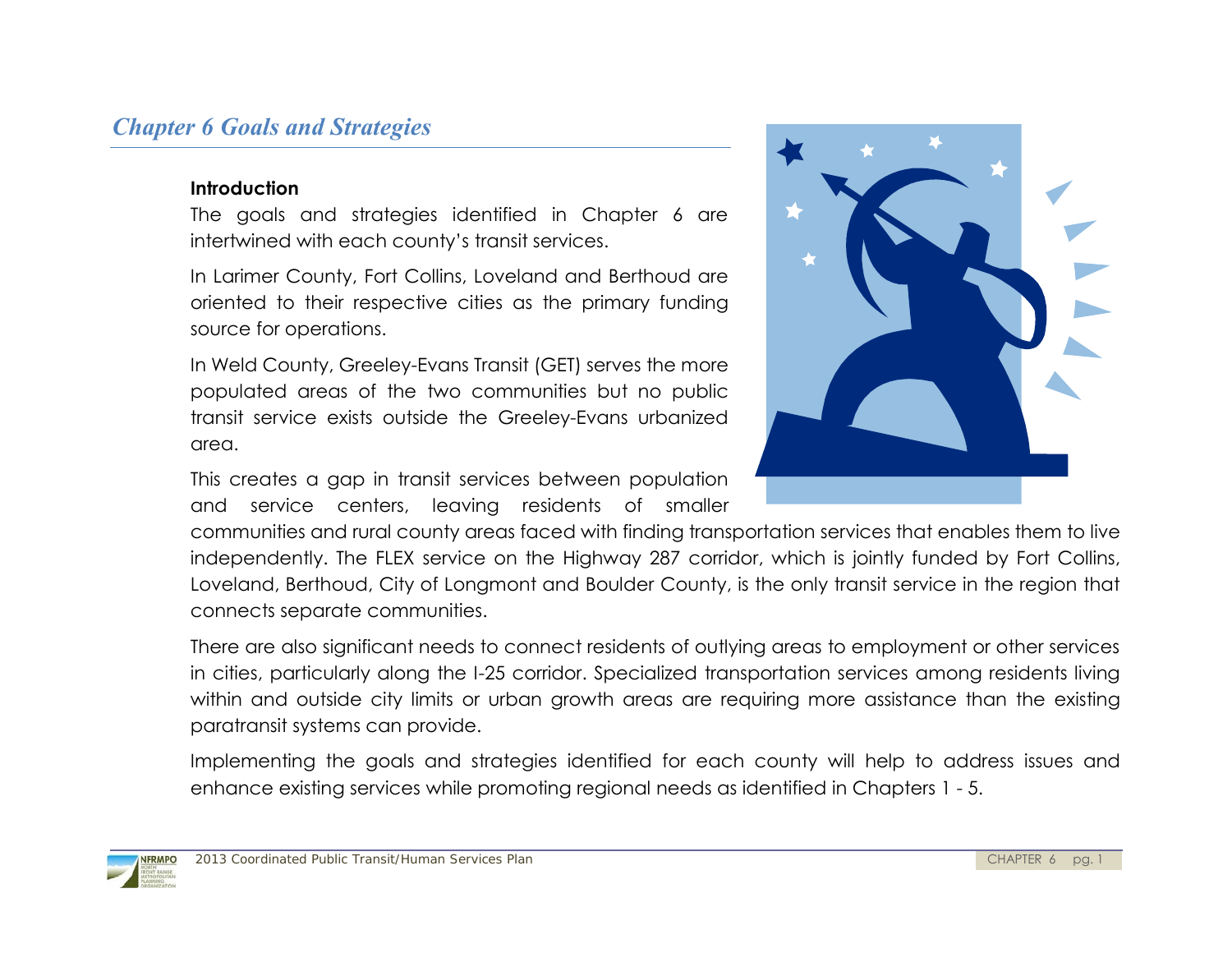# *Chapter 6 Goals and Strategies*

#### **Introduction**

The goals and strategies identified in Chapter 6 are intertwined with each county's transit services.

In Larimer County, Fort Collins, Loveland and Berthoud are oriented to their respective cities as the primary funding source for operations.

In Weld County, Greeley-Evans Transit (GET) serves the more populated areas of the two communities but no public transit service exists outside the Greeley-Evans urbanized area.

This creates a gap in transit services between population and service centers, leaving residents of smaller



communities and rural county areas faced with finding transportation services that enables them to live independently. The FLEX service on the Highway 287 corridor, which is jointly funded by Fort Collins, Loveland, Berthoud, City of Longmont and Boulder County, is the only transit service in the region that connects separate communities.

There are also significant needs to connect residents of outlying areas to employment or other services in cities, particularly along the I-25 corridor. Specialized transportation services among residents living within and outside city limits or urban growth areas are requiring more assistance than the existing paratransit systems can provide.

Implementing the goals and strategies identified for each county will help to address issues and enhance existing services while promoting regional needs as identified in Chapters 1 - 5.

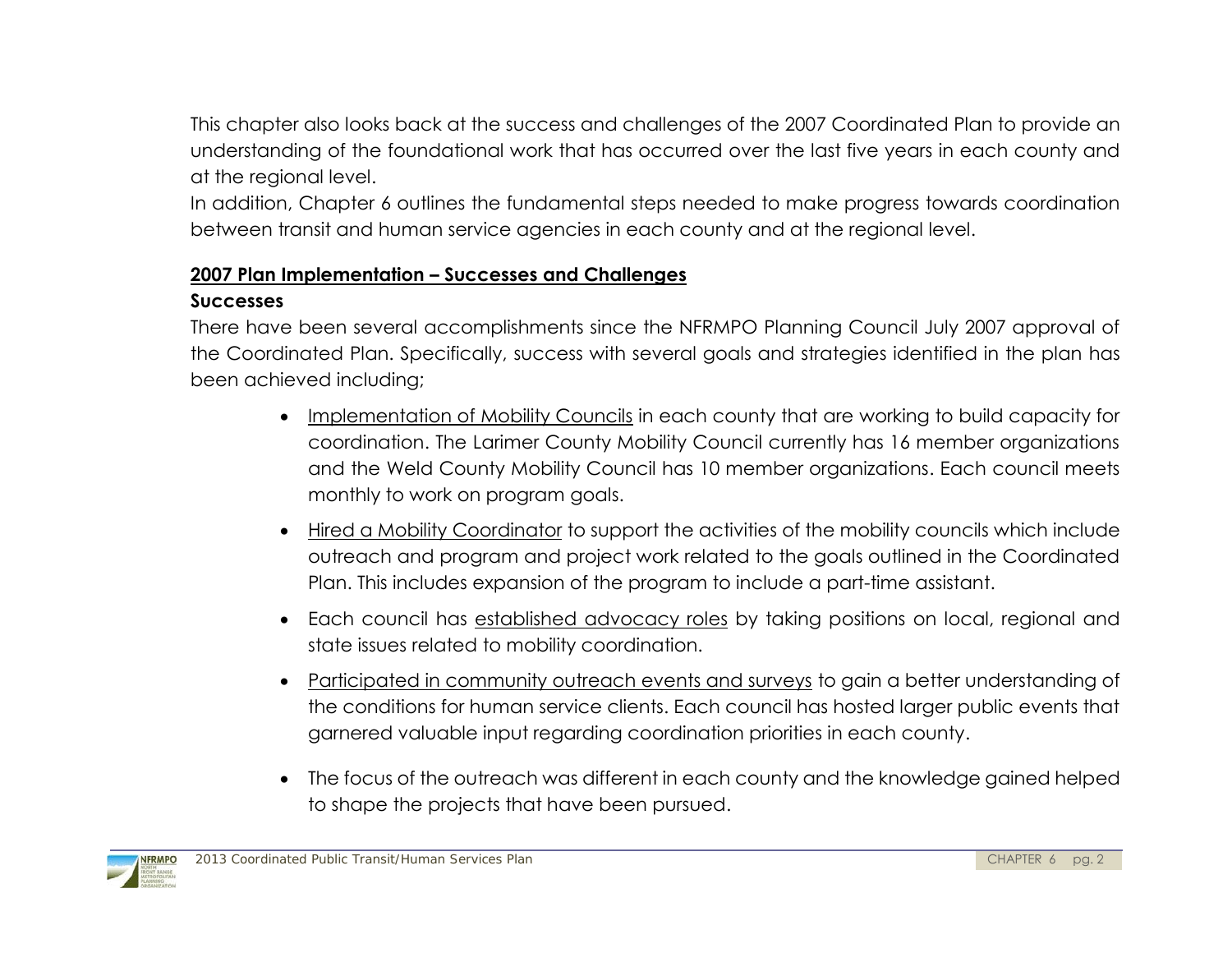This chapter also looks back at the success and challenges of the 2007 Coordinated Plan to provide an understanding of the foundational work that has occurred over the last five years in each county and at the regional level.

In addition, Chapter 6 outlines the fundamental steps needed to make progress towards coordination between transit and human service agencies in each county and at the regional level.

# **2007 Plan Implementation – Successes and Challenges**

### **Successes**

There have been several accomplishments since the NFRMPO Planning Council July 2007 approval of the Coordinated Plan. Specifically, success with several goals and strategies identified in the plan has been achieved including;

- Implementation of Mobility Councils in each county that are working to build capacity for coordination. The Larimer County Mobility Council currently has 16 member organizations and the Weld County Mobility Council has 10 member organizations. Each council meets monthly to work on program goals.
- Hired a Mobility Coordinator to support the activities of the mobility councils which include outreach and program and project work related to the goals outlined in the Coordinated Plan. This includes expansion of the program to include a part-time assistant.
- Each council has established advocacy roles by taking positions on local, regional and state issues related to mobility coordination.
- Participated in community outreach events and surveys to gain a better understanding of the conditions for human service clients. Each council has hosted larger public events that garnered valuable input regarding coordination priorities in each county.
- The focus of the outreach was different in each county and the knowledge gained helped to shape the projects that have been pursued.

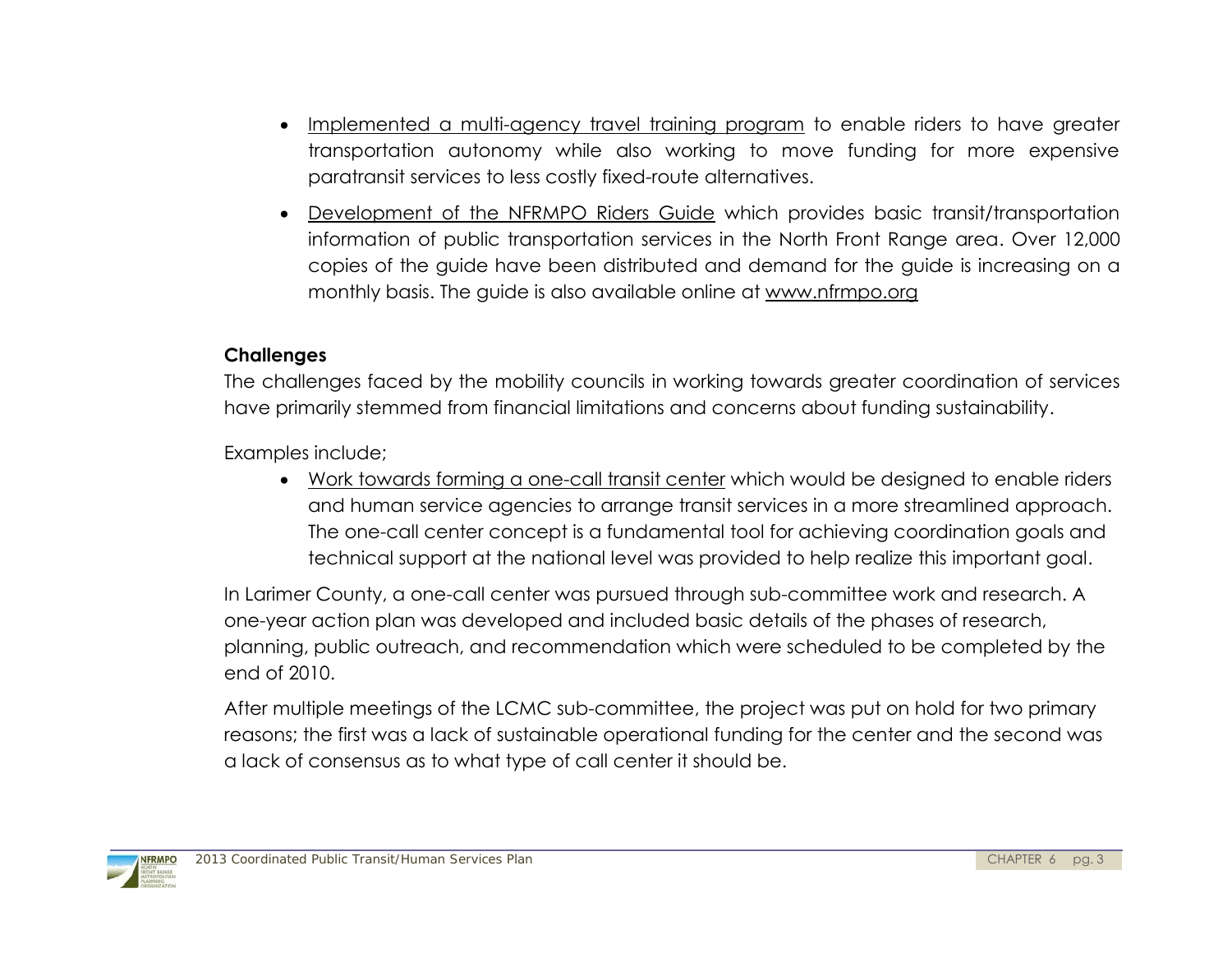- Implemented a multi-agency travel training program to enable riders to have greater transportation autonomy while also working to move funding for more expensive paratransit services to less costly fixed-route alternatives.
- Development of the NFRMPO Riders Guide which provides basic transit/transportation information of public transportation services in the North Front Range area. Over 12,000 copies of the guide have been distributed and demand for the guide is increasing on a monthly basis. The guide is also available online at [www.nfrmpo.org](http://www.nfrmpo.org/)

#### **Challenges**

The challenges faced by the mobility councils in working towards greater coordination of services have primarily stemmed from financial limitations and concerns about funding sustainability.

Examples include;

 Work towards forming a one-call transit center which would be designed to enable riders and human service agencies to arrange transit services in a more streamlined approach. The one-call center concept is a fundamental tool for achieving coordination goals and technical support at the national level was provided to help realize this important goal.

In Larimer County, a one-call center was pursued through sub-committee work and research. A one-year action plan was developed and included basic details of the phases of research, planning, public outreach, and recommendation which were scheduled to be completed by the end of 2010.

After multiple meetings of the LCMC sub-committee, the project was put on hold for two primary reasons; the first was a lack of sustainable operational funding for the center and the second was a lack of consensus as to what type of call center it should be.

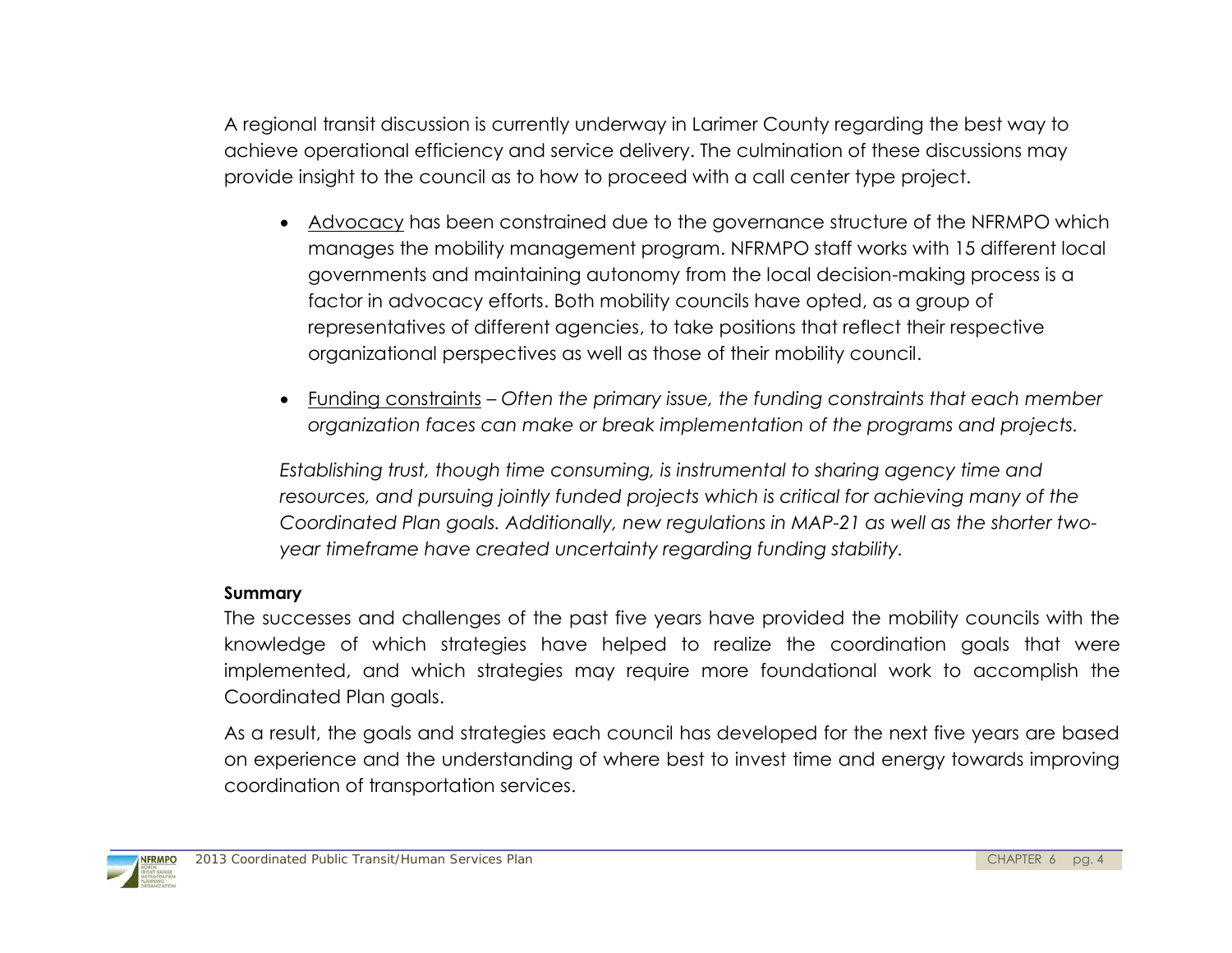A regional transit discussion is currently underway in Larimer County regarding the best way to achieve operational efficiency and service delivery. The culmination of these discussions may provide insight to the council as to how to proceed with a call center type project.

- Advocacy has been constrained due to the governance structure of the NFRMPO which manages the mobility management program. NFRMPO staff works with 15 different local governments and maintaining autonomy from the local decision-making process is a factor in advocacy efforts. Both mobility councils have opted, as a group of representatives of different agencies, to take positions that reflect their respective organizational perspectives as well as those of their mobility council.
- Funding constraints *Often the primary issue, the funding constraints that each member organization faces can make or break implementation of the programs and projects.*

*Establishing trust, though time consuming, is instrumental to sharing agency time and resources, and pursuing jointly funded projects which is critical for achieving many of the Coordinated Plan goals. Additionally, new regulations in MAP-21 as well as the shorter twoyear timeframe have created uncertainty regarding funding stability.*

#### **Summary**

The successes and challenges of the past five years have provided the mobility councils with the knowledge of which strategies have helped to realize the coordination goals that were implemented, and which strategies may require more foundational work to accomplish the Coordinated Plan goals.

As a result, the goals and strategies each council has developed for the next five years are based on experience and the understanding of where best to invest time and energy towards improving coordination of transportation services.

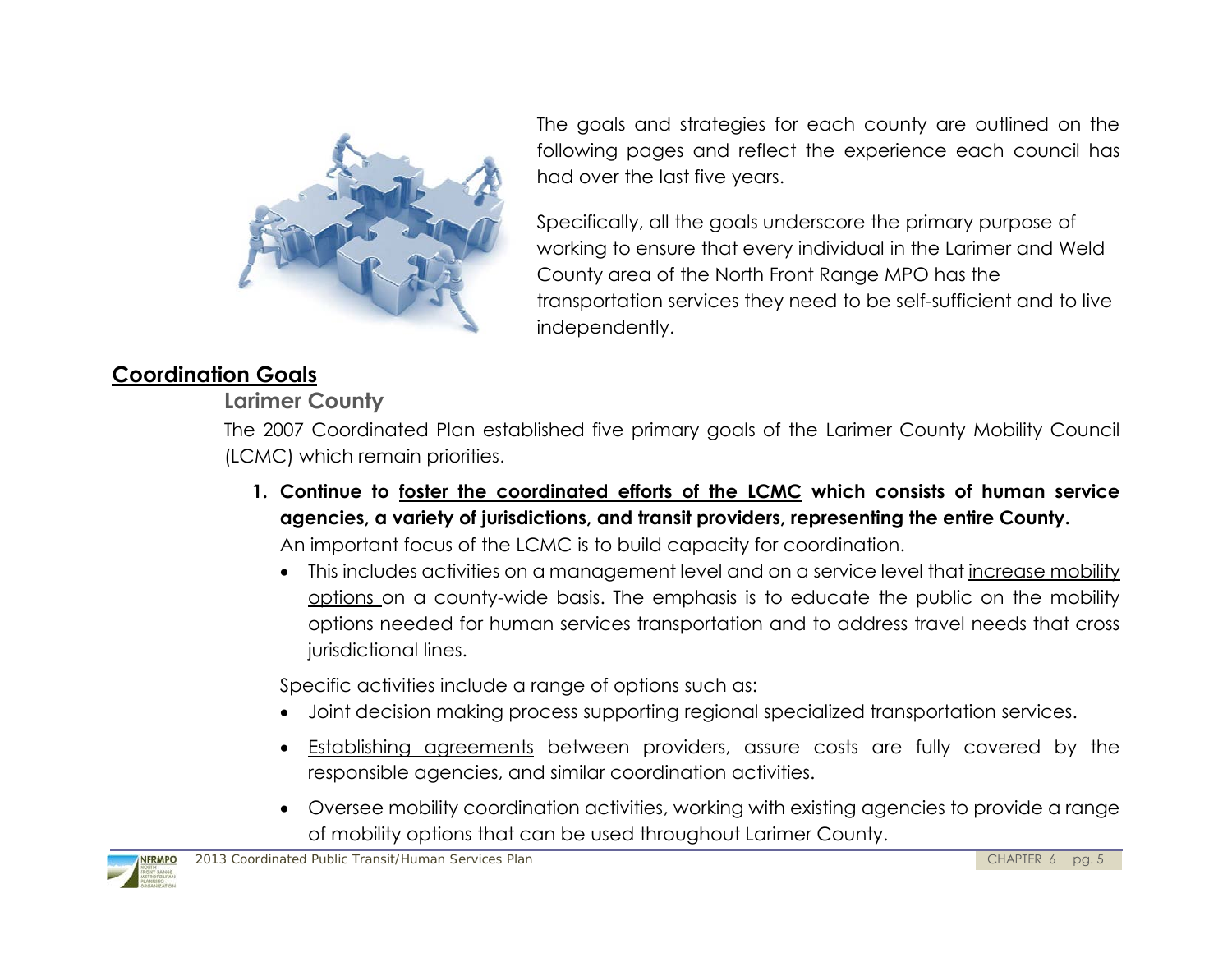

The goals and strategies for each county are outlined on the following pages and reflect the experience each council has had over the last five years.

Specifically, all the goals underscore the primary purpose of working to ensure that every individual in the Larimer and Weld County area of the North Front Range MPO has the transportation services they need to be self-sufficient and to live independently.

# **Coordination Goals**

# **Larimer County**

The 2007 Coordinated Plan established five primary goals of the Larimer County Mobility Council (LCMC) which remain priorities.

- **1. Continue to foster the coordinated efforts of the LCMC which consists of human service agencies, a variety of jurisdictions, and transit providers, representing the entire County.**  An important focus of the LCMC is to build capacity for coordination.
	- This includes activities on a management level and on a service level that increase mobility options on a county-wide basis. The emphasis is to educate the public on the mobility options needed for human services transportation and to address travel needs that cross jurisdictional lines.

Specific activities include a range of options such as:

- Joint decision making process supporting regional specialized transportation services.
- Establishing agreements between providers, assure costs are fully covered by the responsible agencies, and similar coordination activities.
- Oversee mobility coordination activities, working with existing agencies to provide a range of mobility options that can be used throughout Larimer County.

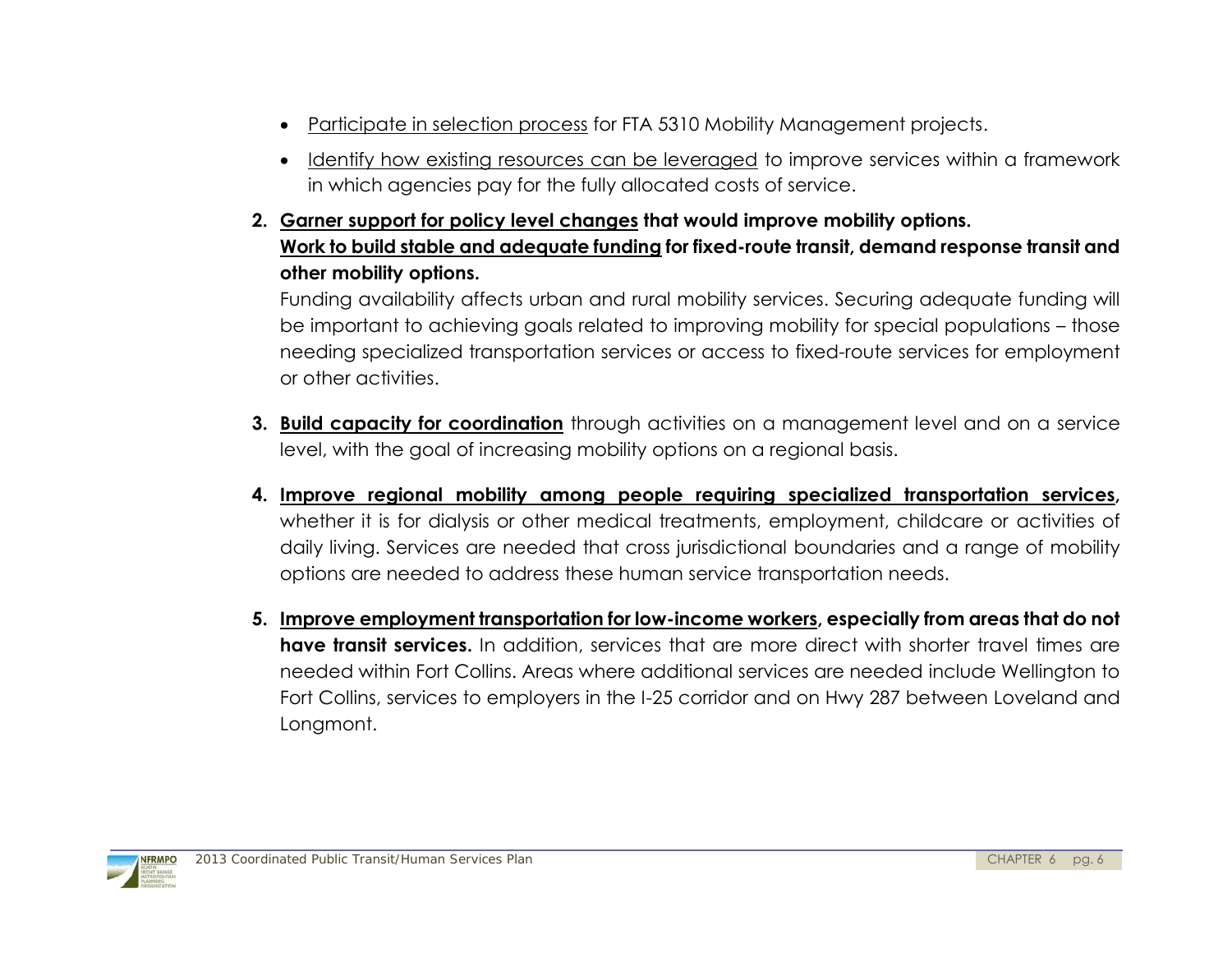- Participate in selection process for FTA 5310 Mobility Management projects.
- Identify how existing resources can be leveraged to improve services within a framework in which agencies pay for the fully allocated costs of service.
- **2. Garner support for policy level changes that would improve mobility options. Work to build stable and adequate funding for fixed-route transit, demand response transit and other mobility options.**

Funding availability affects urban and rural mobility services. Securing adequate funding will be important to achieving goals related to improving mobility for special populations – those needing specialized transportation services or access to fixed-route services for employment or other activities.

- **3. Build capacity for coordination** through activities on a management level and on a service level, with the goal of increasing mobility options on a regional basis.
- **4. Improve regional mobility among people requiring specialized transportation services,** whether it is for dialysis or other medical treatments, employment, childcare or activities of daily living. Services are needed that cross jurisdictional boundaries and a range of mobility options are needed to address these human service transportation needs.
- **5. Improve employment transportation for low-income workers, especially from areas that do not have transit services.** In addition, services that are more direct with shorter travel times are needed within Fort Collins. Areas where additional services are needed include Wellington to Fort Collins, services to employers in the I-25 corridor and on Hwy 287 between Loveland and Longmont.

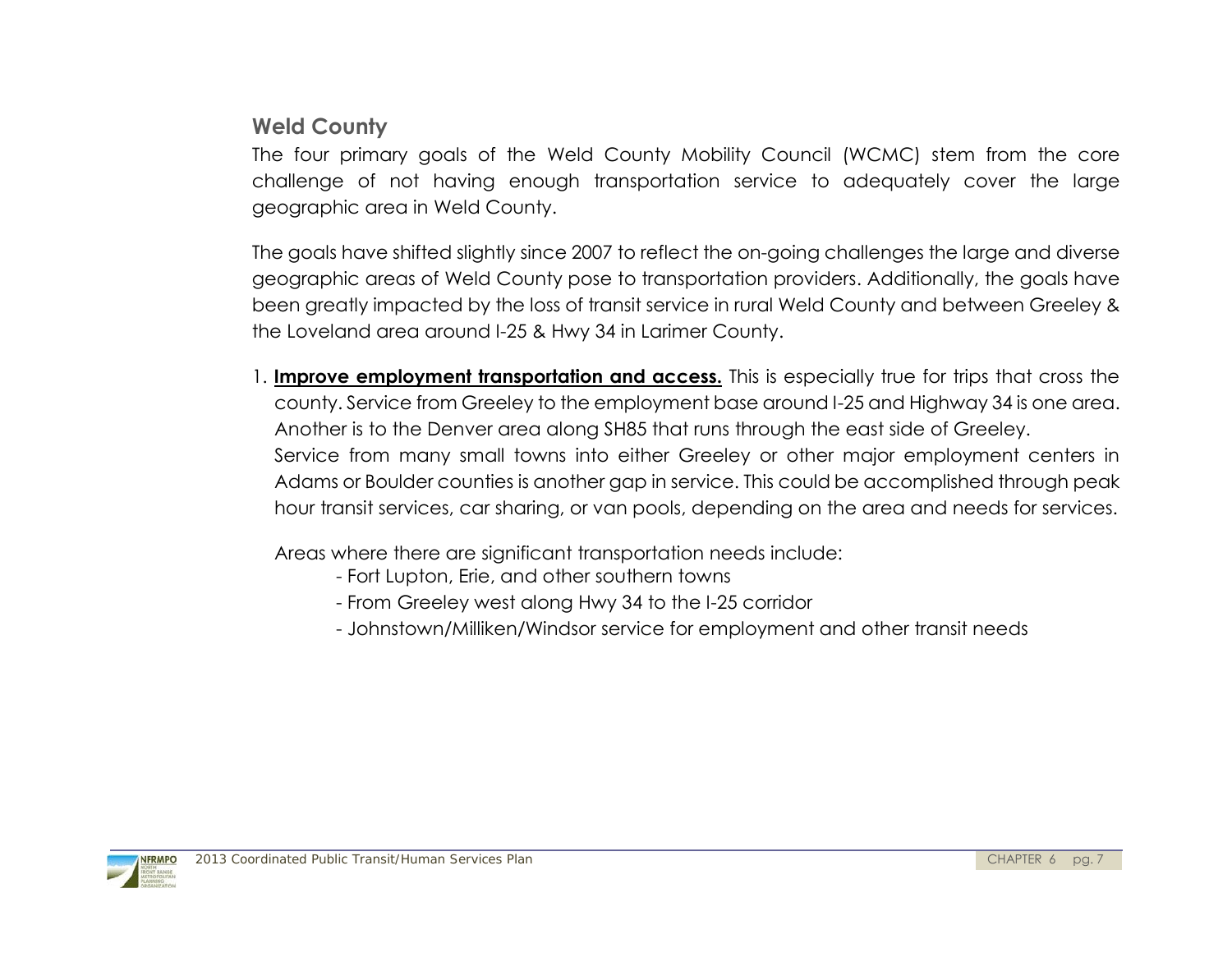# **Weld County**

The four primary goals of the Weld County Mobility Council (WCMC) stem from the core challenge of not having enough transportation service to adequately cover the large geographic area in Weld County.

The goals have shifted slightly since 2007 to reflect the on-going challenges the large and diverse geographic areas of Weld County pose to transportation providers. Additionally, the goals have been greatly impacted by the loss of transit service in rural Weld County and between Greeley & the Loveland area around I-25 & Hwy 34 in Larimer County.

1. **Improve employment transportation and access.** This is especially true for trips that cross the county. Service from Greeley to the employment base around I-25 and Highway 34 is one area. Another is to the Denver area along SH85 that runs through the east side of Greeley. Service from many small towns into either Greeley or other major employment centers in Adams or Boulder counties is another gap in service. This could be accomplished through peak hour transit services, car sharing, or van pools, depending on the area and needs for services.

Areas where there are significant transportation needs include:

- Fort Lupton, Erie, and other southern towns
- From Greeley west along Hwy 34 to the I-25 corridor
- Johnstown/Milliken/Windsor service for employment and other transit needs

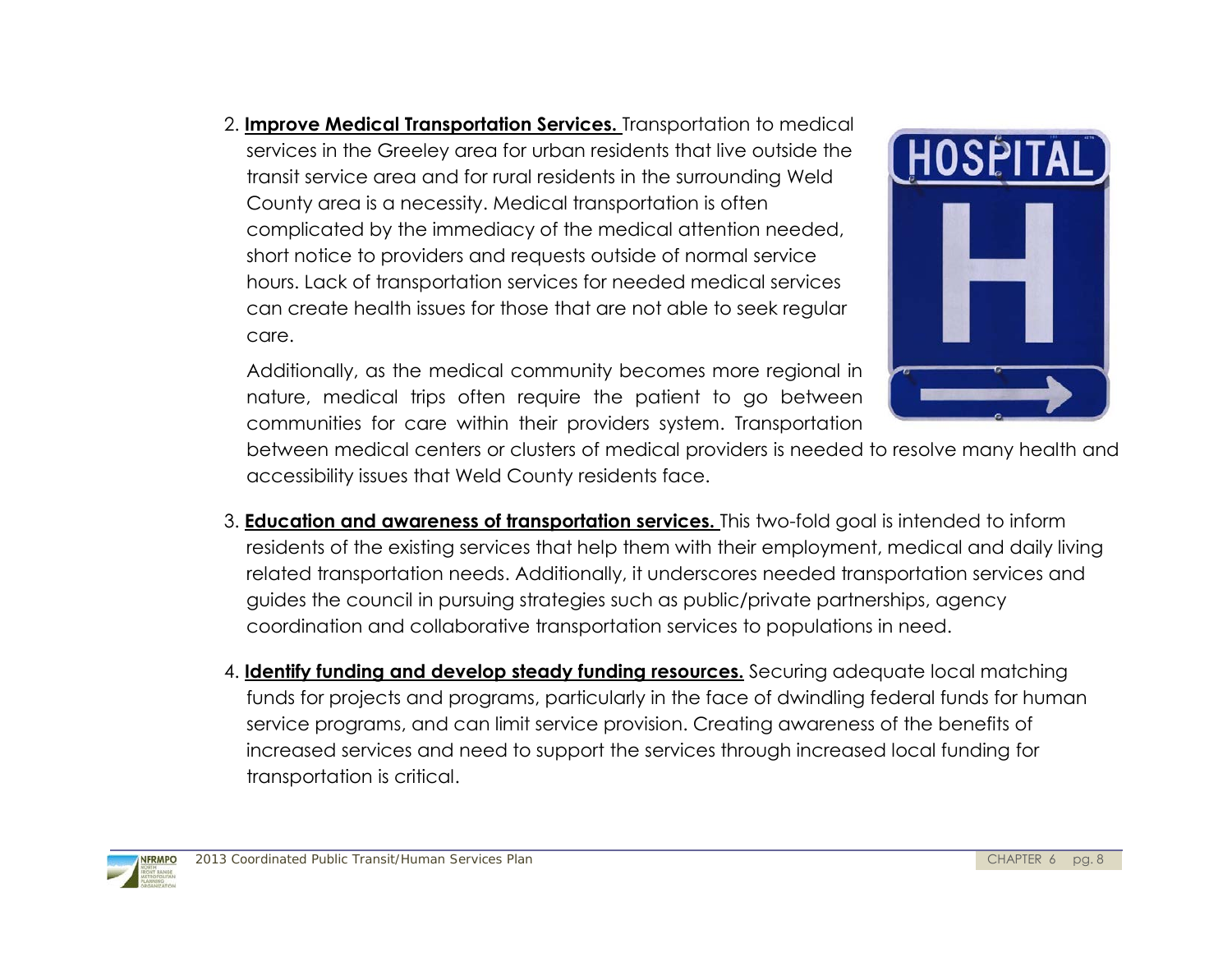2. **Improve Medical Transportation Services.** Transportation to medical services in the Greeley area for urban residents that live outside the transit service area and for rural residents in the surrounding Weld County area is a necessity. Medical transportation is often complicated by the immediacy of the medical attention needed, short notice to providers and requests outside of normal service hours. Lack of transportation services for needed medical services can create health issues for those that are not able to seek regular care.

Additionally, as the medical community becomes more regional in nature, medical trips often require the patient to go between communities for care within their providers system. Transportation



between medical centers or clusters of medical providers is needed to resolve many health and accessibility issues that Weld County residents face.

- 3. **Education and awareness of transportation services.** This two-fold goal is intended to inform residents of the existing services that help them with their employment, medical and daily living related transportation needs. Additionally, it underscores needed transportation services and guides the council in pursuing strategies such as public/private partnerships, agency coordination and collaborative transportation services to populations in need.
- 4. **Identify funding and develop steady funding resources.** Securing adequate local matching funds for projects and programs, particularly in the face of dwindling federal funds for human service programs, and can limit service provision. Creating awareness of the benefits of increased services and need to support the services through increased local funding for transportation is critical.

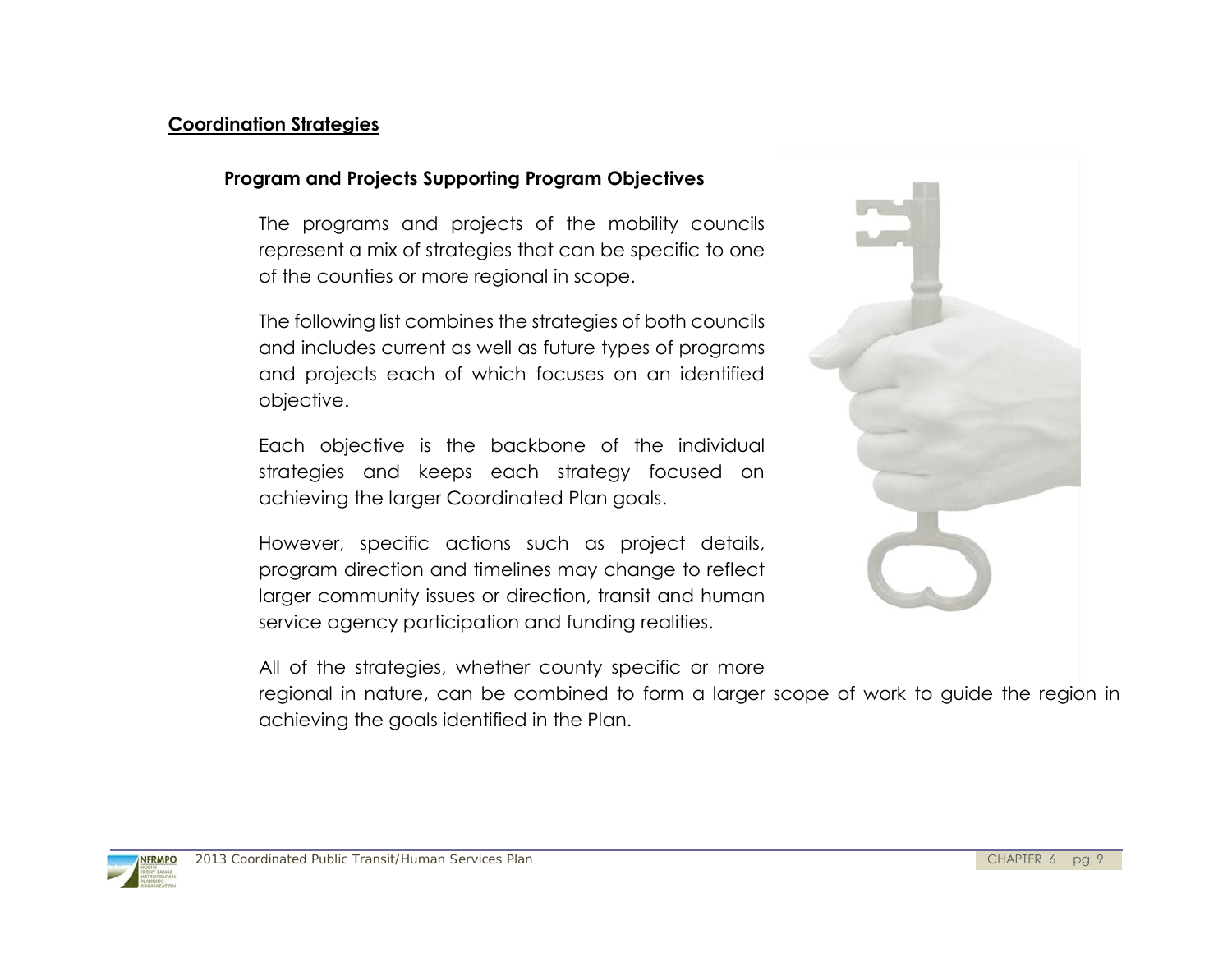#### **Coordination Strategies**

#### **Program and Projects Supporting Program Objectives**

The programs and projects of the mobility councils represent a mix of strategies that can be specific to one of the counties or more regional in scope.

The following list combines the strategies of both councils and includes current as well as future types of programs and projects each of which focuses on an identified objective.

Each objective is the backbone of the individual strategies and keeps each strategy focused on achieving the larger Coordinated Plan goals.

However, specific actions such as project details, program direction and timelines may change to reflect larger community issues or direction, transit and human service agency participation and funding realities.

All of the strategies, whether county specific or more

regional in nature, can be combined to form a larger scope of work to guide the region in achieving the goals identified in the Plan.



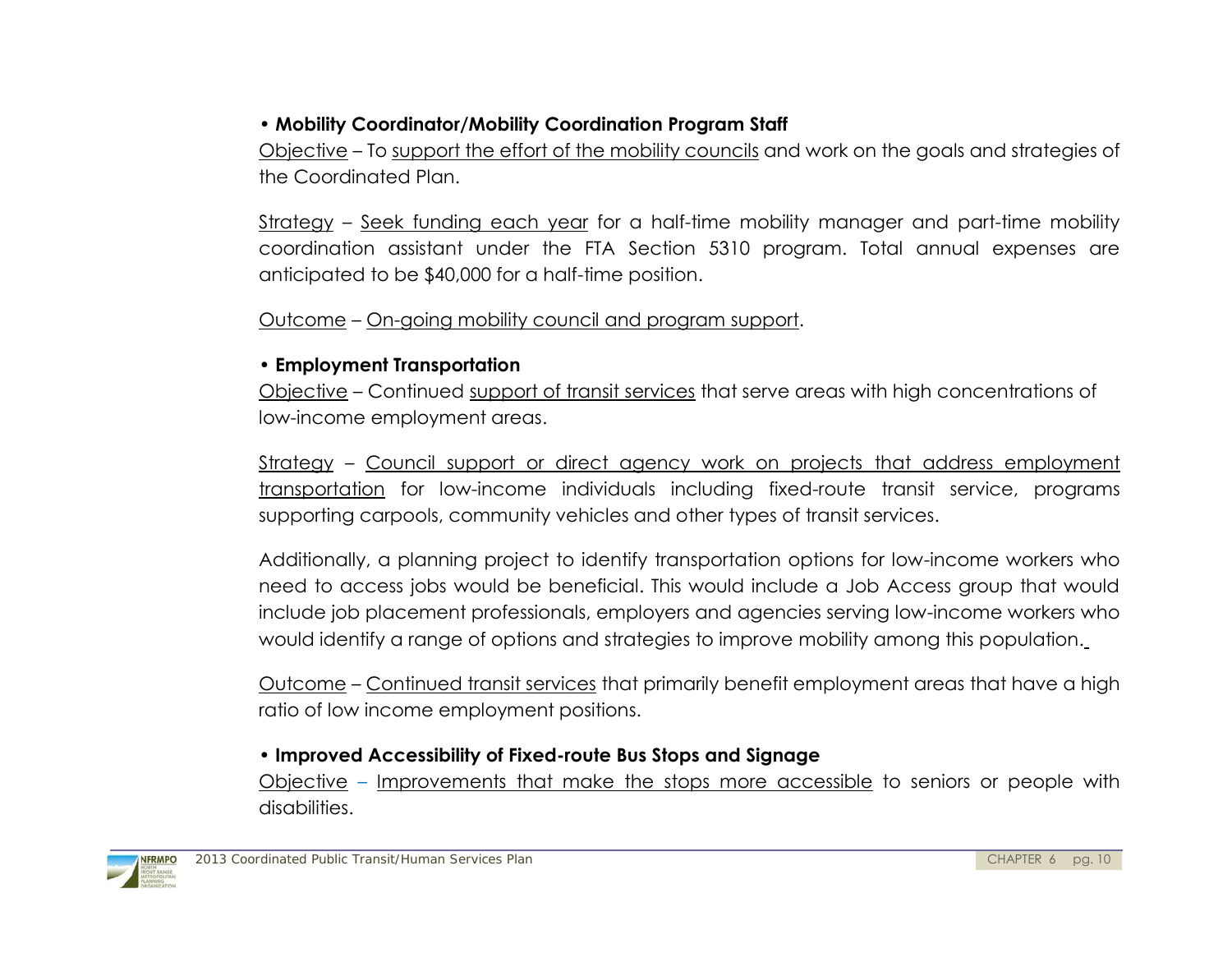## • **Mobility Coordinator/Mobility Coordination Program Staff**

Objective – To support the effort of the mobility councils and work on the goals and strategies of the Coordinated Plan.

Strategy – Seek funding each year for a half-time mobility manager and part-time mobility coordination assistant under the FTA Section 5310 program. Total annual expenses are anticipated to be \$40,000 for a half-time position.

Outcome – On-going mobility council and program support.

#### • **Employment Transportation**

Objective – Continued support of transit services that serve areas with high concentrations of low-income employment areas.

Strategy – Council support or direct agency work on projects that address employment transportation for low-income individuals including fixed-route transit service, programs supporting carpools, community vehicles and other types of transit services.

Additionally, a planning project to identify transportation options for low-income workers who need to access jobs would be beneficial. This would include a Job Access group that would include job placement professionals, employers and agencies serving low-income workers who would identify a range of options and strategies to improve mobility among this population.

Outcome – Continued transit services that primarily benefit employment areas that have a high ratio of low income employment positions.

### • **Improved Accessibility of Fixed-route Bus Stops and Signage**

Objective – Improvements that make the stops more accessible to seniors or people with disabilities.

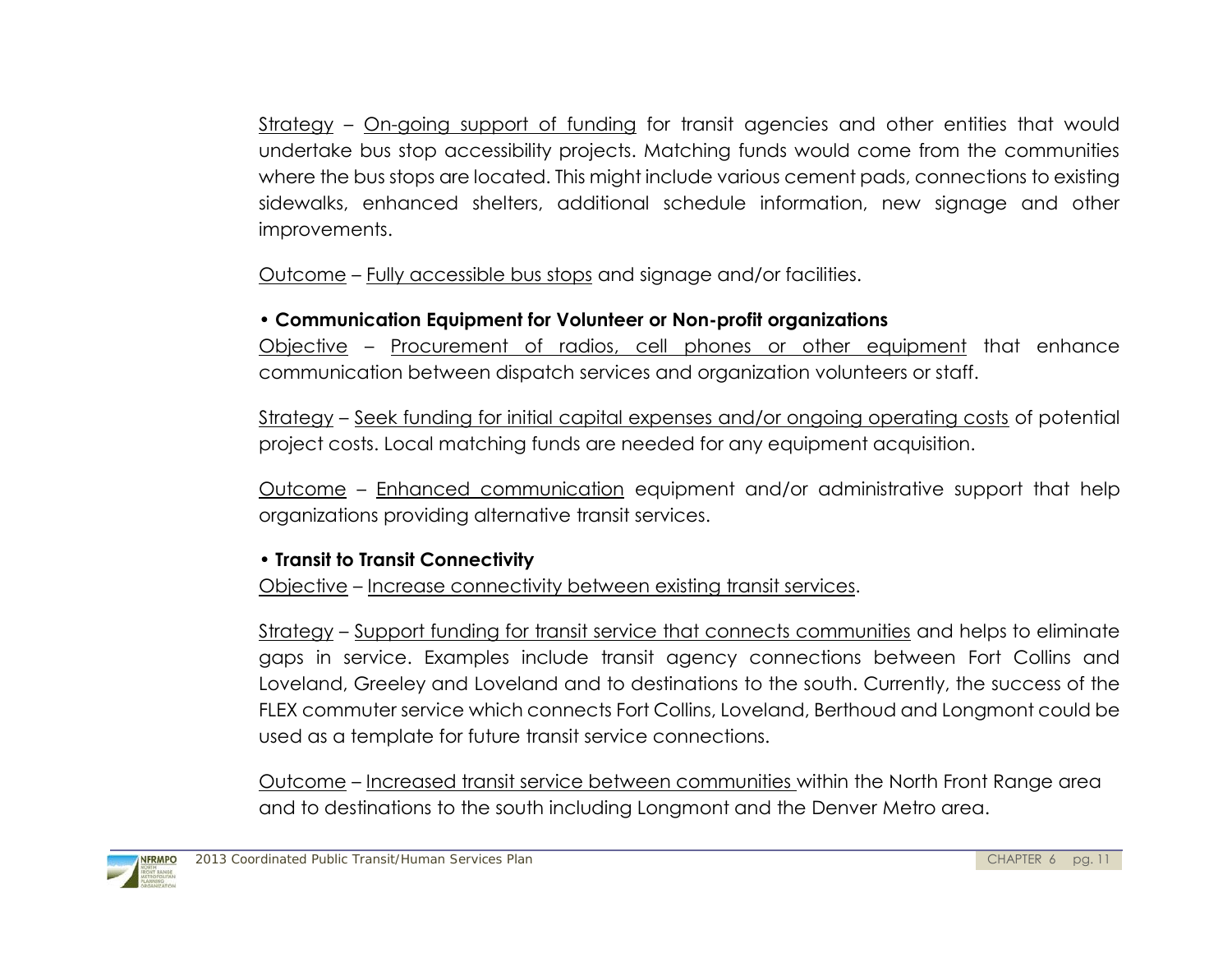Strategy – On-going support of funding for transit agencies and other entities that would undertake bus stop accessibility projects. Matching funds would come from the communities where the bus stops are located. This might include various cement pads, connections to existing sidewalks, enhanced shelters, additional schedule information, new signage and other improvements.

Outcome – Fully accessible bus stops and signage and/or facilities.

### • **Communication Equipment for Volunteer or Non-profit organizations**

Objective – Procurement of radios, cell phones or other equipment that enhance communication between dispatch services and organization volunteers or staff.

Strategy – Seek funding for initial capital expenses and/or ongoing operating costs of potential project costs. Local matching funds are needed for any equipment acquisition.

Outcome – Enhanced communication equipment and/or administrative support that help organizations providing alternative transit services.

## • **Transit to Transit Connectivity**

Objective – Increase connectivity between existing transit services.

Strategy – Support funding for transit service that connects communities and helps to eliminate gaps in service. Examples include transit agency connections between Fort Collins and Loveland, Greeley and Loveland and to destinations to the south. Currently, the success of the FLEX commuter service which connects Fort Collins, Loveland, Berthoud and Longmont could be used as a template for future transit service connections.

Outcome – Increased transit service between communities within the North Front Range area and to destinations to the south including Longmont and the Denver Metro area.

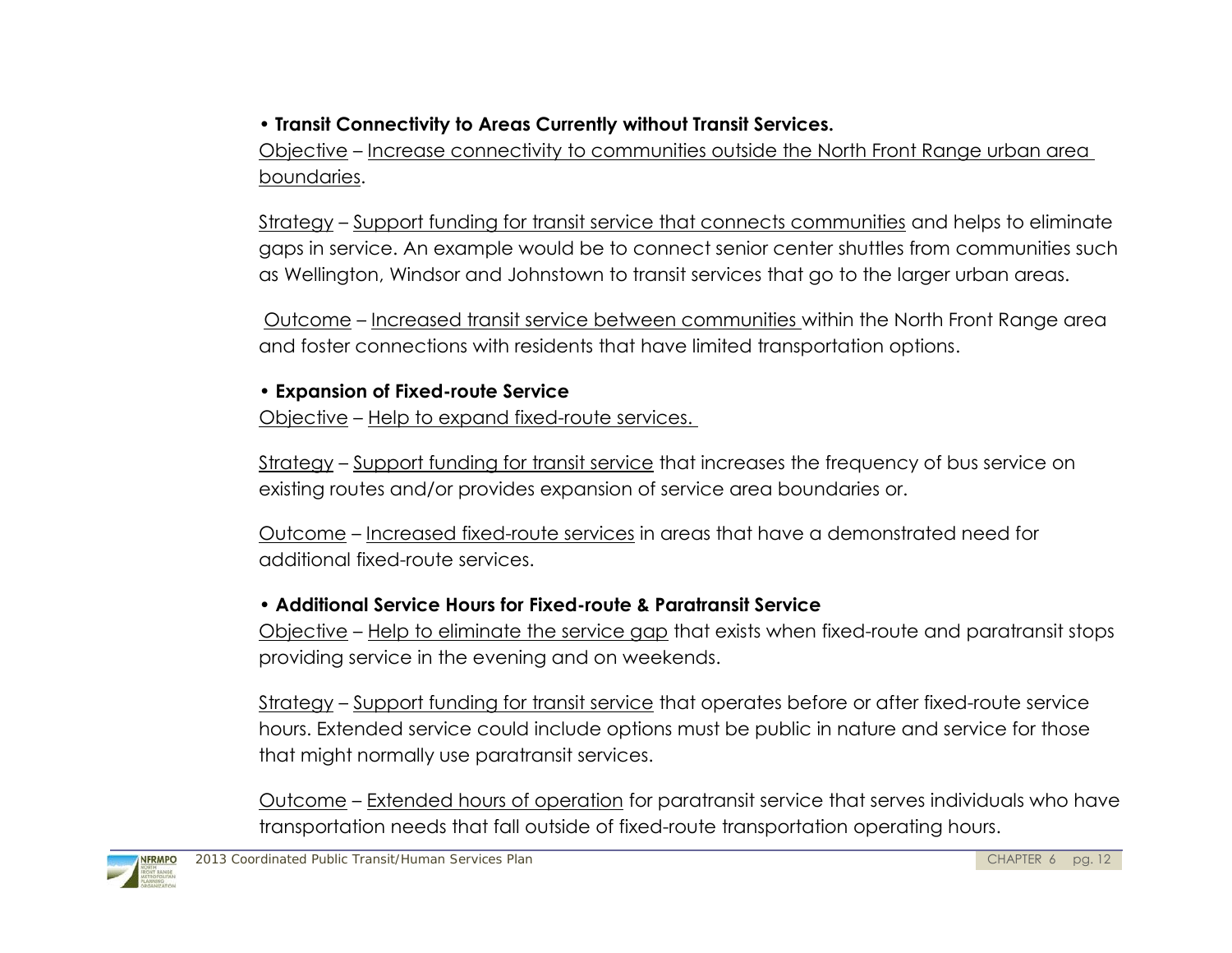# • **Transit Connectivity to Areas Currently without Transit Services.**

Objective – Increase connectivity to communities outside the North Front Range urban area boundaries.

Strategy – Support funding for transit service that connects communities and helps to eliminate gaps in service. An example would be to connect senior center shuttles from communities such as Wellington, Windsor and Johnstown to transit services that go to the larger urban areas.

 Outcome – Increased transit service between communities within the North Front Range area and foster connections with residents that have limited transportation options.

#### • **Expansion of Fixed-route Service**

Objective – Help to expand fixed-route services.

Strategy - Support funding for transit service that increases the frequency of bus service on existing routes and/or provides expansion of service area boundaries or.

Outcome – Increased fixed-route services in areas that have a demonstrated need for additional fixed-route services.

### • **Additional Service Hours for Fixed-route & Paratransit Service**

Objective – Help to eliminate the service gap that exists when fixed-route and paratransit stops providing service in the evening and on weekends.

Strategy – Support funding for transit service that operates before or after fixed-route service hours. Extended service could include options must be public in nature and service for those that might normally use paratransit services.

Outcome – Extended hours of operation for paratransit service that serves individuals who have transportation needs that fall outside of fixed-route transportation operating hours.

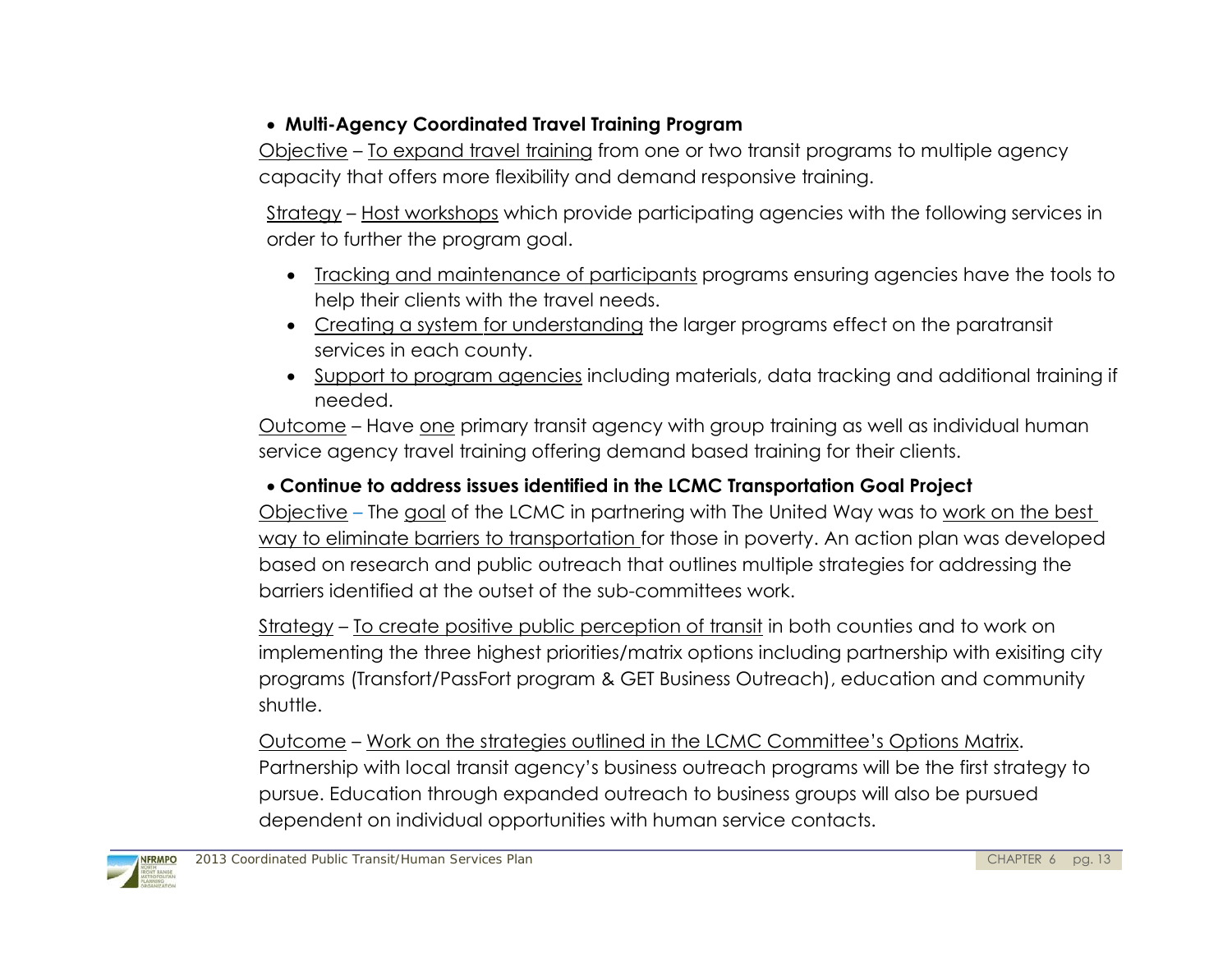## **Multi-Agency Coordinated Travel Training Program**

Objective – To expand travel training from one or two transit programs to multiple agency capacity that offers more flexibility and demand responsive training.

Strategy – Host workshops which provide participating agencies with the following services in order to further the program goal.

- Tracking and maintenance of participants programs ensuring agencies have the tools to help their clients with the travel needs.
- Creating a system for understanding the larger programs effect on the paratransit services in each county.
- Support to program agencies including materials, data tracking and additional training if needed.

Outcome – Have one primary transit agency with group training as well as individual human service agency travel training offering demand based training for their clients.

## **Continue to address issues identified in the LCMC Transportation Goal Project**

Objective – The goal of the LCMC in partnering with The United Way was to work on the best way to eliminate barriers to transportation for those in poverty. An action plan was developed based on research and public outreach that outlines multiple strategies for addressing the barriers identified at the outset of the sub-committees work.

Strategy – To create positive public perception of transit in both counties and to work on implementing the three highest priorities/matrix options including partnership with exisiting city programs (Transfort/PassFort program & GET Business Outreach), education and community shuttle.

Outcome – Work on the strategies outlined in the LCMC Committee's Options Matrix. Partnership with local transit agency's business outreach programs will be the first strategy to pursue. Education through expanded outreach to business groups will also be pursued dependent on individual opportunities with human service contacts.

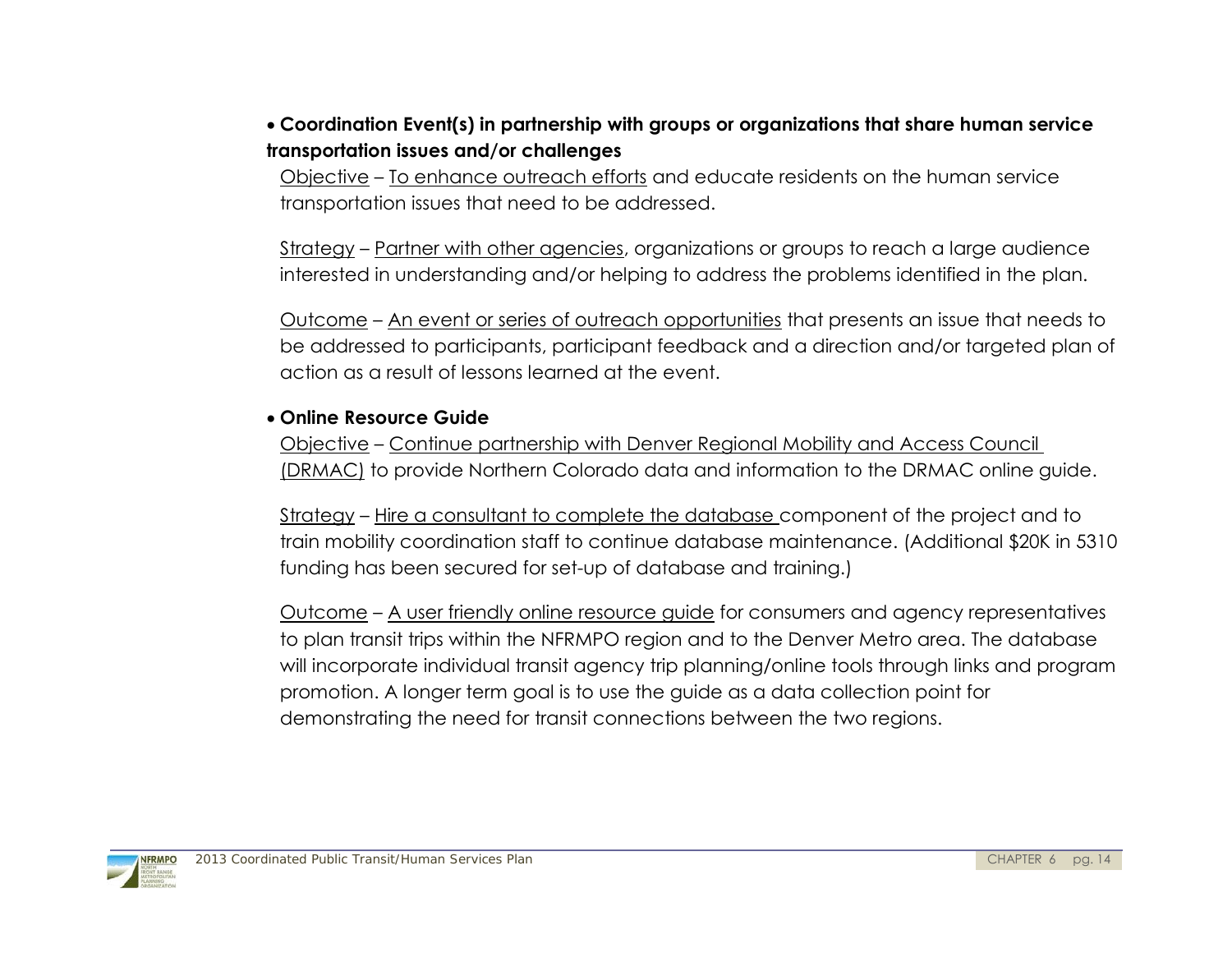### **Coordination Event(s) in partnership with groups or organizations that share human service transportation issues and/or challenges**

Objective – To enhance outreach efforts and educate residents on the human service transportation issues that need to be addressed.

Strategy – Partner with other agencies, organizations or groups to reach a large audience interested in understanding and/or helping to address the problems identified in the plan.

Outcome – An event or series of outreach opportunities that presents an issue that needs to be addressed to participants, participant feedback and a direction and/or targeted plan of action as a result of lessons learned at the event.

#### **Online Resource Guide**

Objective – Continue partnership with Denver Regional Mobility and Access Council (DRMAC) to provide Northern Colorado data and information to the DRMAC online guide.

Strategy – Hire a consultant to complete the database component of the project and to train mobility coordination staff to continue database maintenance. (Additional \$20K in 5310 funding has been secured for set-up of database and training.)

Outcome – A user friendly online resource guide for consumers and agency representatives to plan transit trips within the NFRMPO region and to the Denver Metro area. The database will incorporate individual transit agency trip planning/online tools through links and program promotion. A longer term goal is to use the guide as a data collection point for demonstrating the need for transit connections between the two regions.

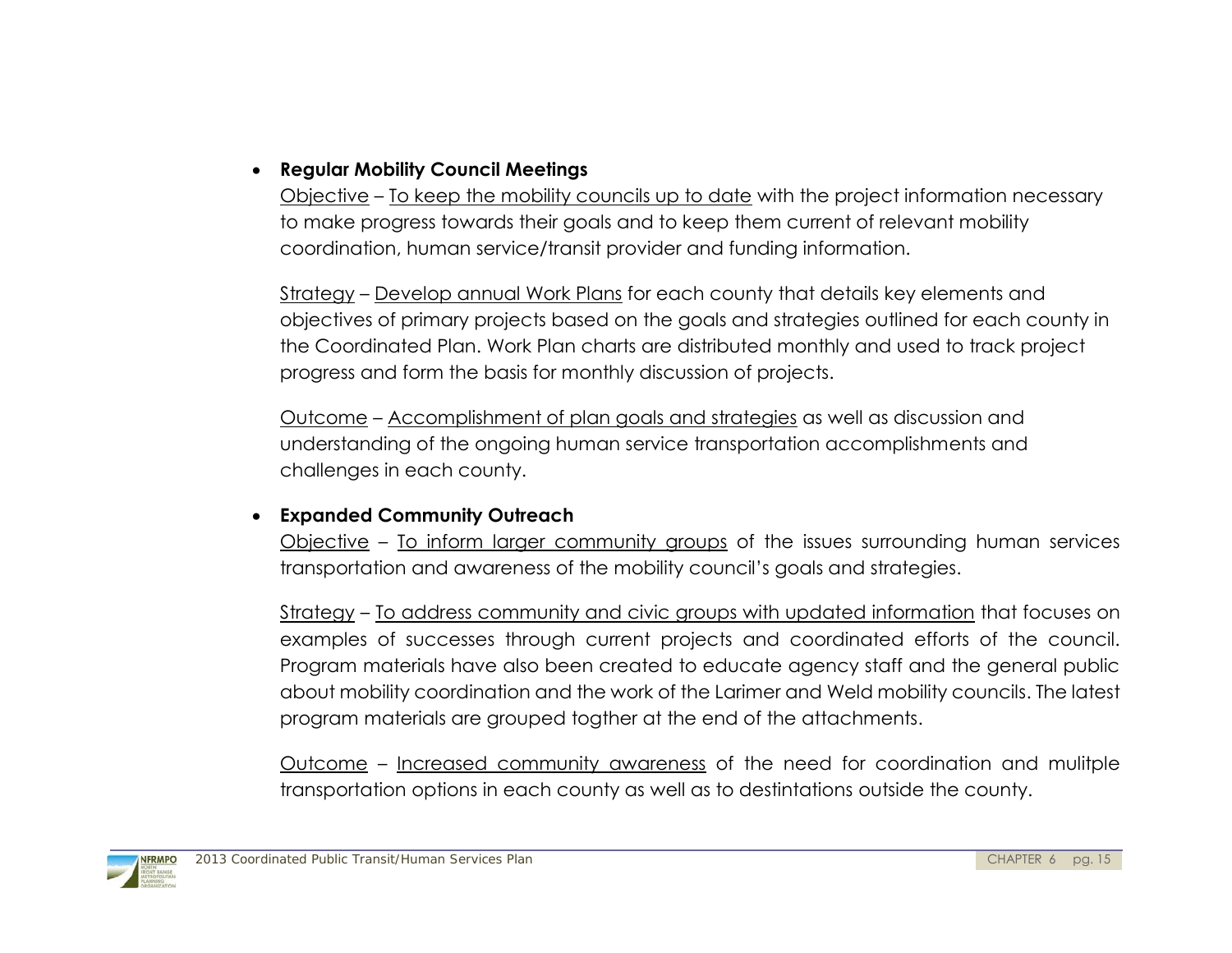### **Regular Mobility Council Meetings**

Objective – To keep the mobility councils up to date with the project information necessary to make progress towards their goals and to keep them current of relevant mobility coordination, human service/transit provider and funding information.

Strategy – Develop annual Work Plans for each county that details key elements and objectives of primary projects based on the goals and strategies outlined for each county in the Coordinated Plan. Work Plan charts are distributed monthly and used to track project progress and form the basis for monthly discussion of projects.

Outcome – Accomplishment of plan goals and strategies as well as discussion and understanding of the ongoing human service transportation accomplishments and challenges in each county.

### **Expanded Community Outreach**

Objective – To inform larger community groups of the issues surrounding human services transportation and awareness of the mobility council's goals and strategies.

Strategy – To address community and civic groups with updated information that focuses on examples of successes through current projects and coordinated efforts of the council. Program materials have also been created to educate agency staff and the general public about mobility coordination and the work of the Larimer and Weld mobility councils. The latest program materials are grouped togther at the end of the attachments.

Outcome – Increased community awareness of the need for coordination and mulitple transportation options in each county as well as to destintations outside the county.